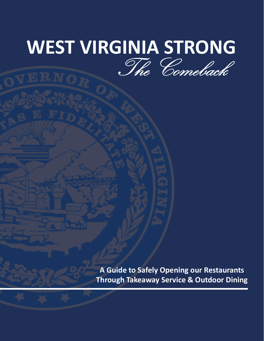# **WEST VIRGINIA STRONG** The Comeback

**A Guide to Safely Opening our Restaurants Through Takeaway Service & Outdoor Dining**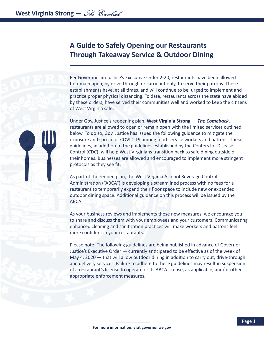# **A Guide to Safely Opening our Restaurants Through Takeaway Service & Outdoor Dining**

Per Governor Jim Justice's Executive Order 2-20, restaurants have been allowed to remain open, by drive-through or carry out only, to serve their patrons. These establishments have, at all times, and will continue to be, urged to implement and practice proper physical distancing. To date, restaurants across the state have abided by these orders, have served their communities well and worked to keep the citizens of West Virginia safe.

Under Gov. Justice's reopening plan, **West Virginia Strong —** *The Comeback*, restaurants are allowed to open or remain open with the limited services outlined below. To do so, Gov. Justice has issued the following guidance to mitigate the exposure and spread of COVID-19 among food-service workers and patrons. These guidelines, in addition to the guidelines established by the Centers for Disease Control (CDC), will help West Virginians transition back to safe dining outside of their homes. Businesses are allowed and encouraged to implement more stringent protocols as they see fit.

As part of the reopen plan, the West Virginia Alcohol Beverage Control Administration ("ABCA") is developing a streamlined process with no fees for a restaurant to temporarily expand their floor space to include new or expanded outdoor dining space. Additional guidance on this process will be issued by the ABCA.

As your business reviews and implements these new measures, we encourage you to share and discuss them with your employees and your customers. Communicating enhanced cleaning and sanitization practices will make workers and patrons feel more confident in your restaurants.

Please note: The following guidelines are being published in advance of Governor Justice's Executive Order — currently anticipated to be effective as of the week of May 4, 2020 — that will allow outdoor dining in addition to carry out, drive-through and delivery services. Failure to adhere to these guidelines may result in suspension of a restaurant's license to operate or its ABCA license, as applicable, and/or other appropriate enforcement measures.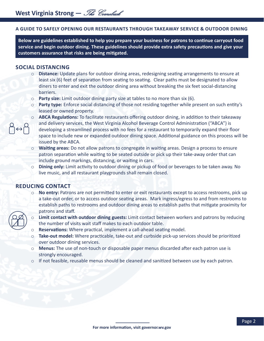#### **A GUIDE TO SAFELY OPENING OUR RESTAURANTS THROUGH TAKEAWAY SERVICE & OUTDOOR DINING**

**Below are guidelines established to help you prepare your business for patrons to continue carryout food service and begin outdoor dining. These guidelines should provide extra safety precautions and give your customers assurance that risks are being mitigated.** 

#### **SOCIAL DISTANCING**

- o **Distance:** Update plans for outdoor dining areas, redesigning seating arrangements to ensure at least six (6) feet of separation from seating to seating. Clear paths must be designated to allow diners to enter and exit the outdoor dining area without breaking the six feet social-distancing barriers.
- o **Party size:** Limit outdoor dining party size at tables to no more than six (6).
- o **Party type:** Enforce social distancing of those not residing together while present on such entity's leased or owned property.
- o **ABCA Regulations:** To facilitate restaurants offering outdoor dining, in addition to their takeaway and delivery services, the West Virginia Alcohol Beverage Control Administration ("ABCA") is developing a streamlined process with no fees for a restaurant to temporarily expand their floor space to include new or expanded outdoor dining space. Additional guidance on this process will be issued by the ABCA.
- **Waiting areas:** Do not allow patrons to congregate in waiting areas. Design a process to ensure patron separation while waiting to be seated outside or pick up their take-away order that can include ground markings, distancing, or waiting in cars.
- o **Dining only:** Limit activity to outdoor dining or pickup of food or beverages to be taken away. No live music, and all restaurant playgrounds shall remain closed.

#### **REDUCING CONTACT**

- o **No entry:** Patrons are not permitted to enter or exit restaurants except to access restrooms, pick up a take-out order, or to access outdoor seating areas. Mark ingress/egress to and from restrooms to establish paths to restrooms and outdoor dining areas to establish paths that mitigate proximity for patrons and staff.
- - o **Limit contact with outdoor dining guests:** Limit contact between workers and patrons by reducing the number of visits wait staff makes to each outdoor table.
	- o **Reservations:** Where practical, implement a call-ahead seating model.
	- o **Take-out model:** Where practicable, take-out and curbside pick-up services should be prioritized over outdoor dining services.
	- o **Menus:** The use of non-touch or disposable paper menus discarded after each patron use is strongly encouraged.
	- $\circ$  If not feasible, reusable menus should be cleaned and sanitized between use by each patron.